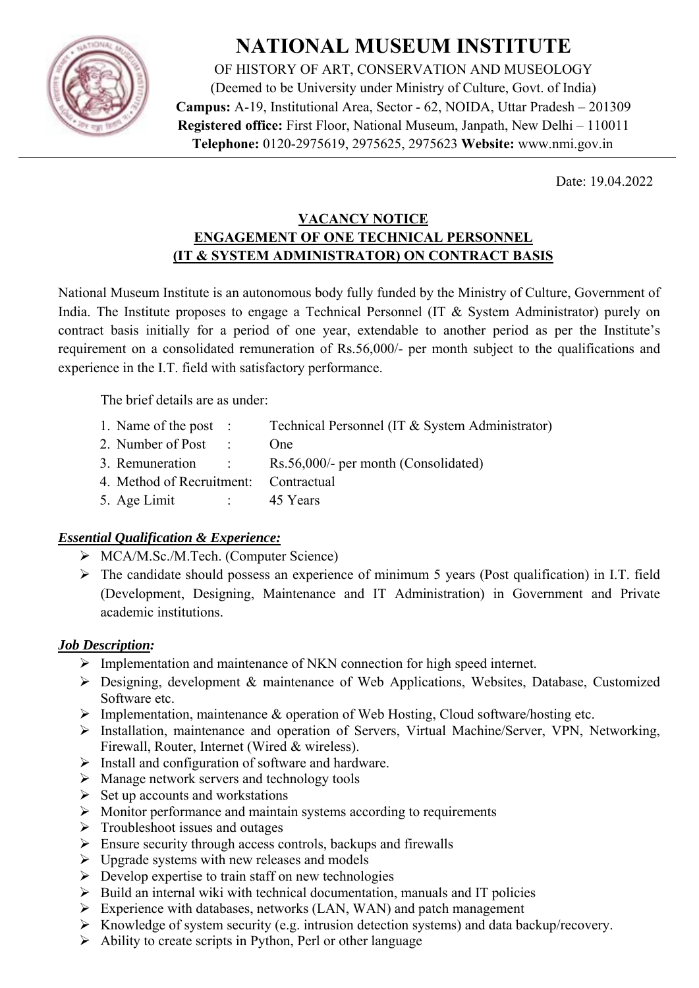

# **NATIONAL MUSEUM INSTITUTE**

OF HISTORY OF ART, CONSERVATION AND MUSEOLOGY (Deemed to be University under Ministry of Culture, Govt. of India) **Campus:** A-19, Institutional Area, Sector - 62, NOIDA, Uttar Pradesh – 201309 **Registered office:** First Floor, National Museum, Janpath, New Delhi – 110011 **Telephone:** 0120-2975619, 2975625, 2975623 **Website:** www.nmi.gov.in

Date: 19.04.2022

## **VACANCY NOTICE ENGAGEMENT OF ONE TECHNICAL PERSONNEL (IT & SYSTEM ADMINISTRATOR) ON CONTRACT BASIS**

National Museum Institute is an autonomous body fully funded by the Ministry of Culture, Government of India. The Institute proposes to engage a Technical Personnel (IT & System Administrator) purely on contract basis initially for a period of one year, extendable to another period as per the Institute's requirement on a consolidated remuneration of Rs.56,000/- per month subject to the qualifications and experience in the I.T. field with satisfactory performance.

The brief details are as under:

- 1. Name of the post : Technical Personnel (IT & System Administrator)
- 2 Number of Post : One
- 3. Remuneration : Rs.56,000/- per month (Consolidated)
- 4. Method of Recruitment: Contractual
- 5. Age Limit : 45 Years

## *Essential Qualification & Experience:*

- $\triangleright$  MCA/M.Sc./M.Tech. (Computer Science)
- $\triangleright$  The candidate should possess an experience of minimum 5 years (Post qualification) in I.T. field (Development, Designing, Maintenance and IT Administration) in Government and Private academic institutions.

#### *Job Description:*

- $\triangleright$  Implementation and maintenance of NKN connection for high speed internet.
- Designing, development & maintenance of Web Applications, Websites, Database, Customized Software etc.
- $\triangleright$  Implementation, maintenance & operation of Web Hosting, Cloud software/hosting etc.
- Installation, maintenance and operation of Servers, Virtual Machine/Server, VPN, Networking, Firewall, Router, Internet (Wired & wireless).
- $\triangleright$  Install and configuration of software and hardware.
- $\triangleright$  Manage network servers and technology tools
- $\triangleright$  Set up accounts and workstations
- $\triangleright$  Monitor performance and maintain systems according to requirements
- $\triangleright$  Troubleshoot issues and outages
- $\triangleright$  Ensure security through access controls, backups and firewalls
- $\triangleright$  Upgrade systems with new releases and models
- $\triangleright$  Develop expertise to train staff on new technologies
- $\triangleright$  Build an internal wiki with technical documentation, manuals and IT policies
- $\triangleright$  Experience with databases, networks (LAN, WAN) and patch management
- $\triangleright$  Knowledge of system security (e.g. intrusion detection systems) and data backup/recovery.
- $\triangleright$  Ability to create scripts in Python, Perl or other language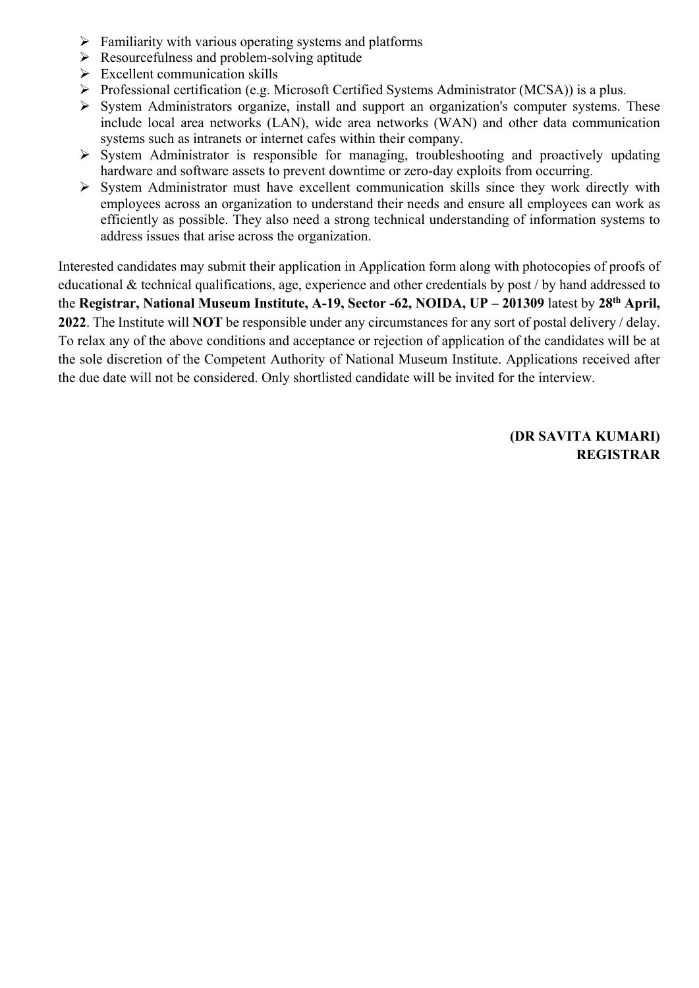- $\triangleright$  Familiarity with various operating systems and platforms
- $\triangleright$  Resourcefulness and problem-solving aptitude
- $\triangleright$  Excellent communication skills
- Professional certification (e.g. Microsoft Certified Systems Administrator (MCSA)) is a plus.
- $\triangleright$  System Administrators organize, install and support an organization's computer systems. These include local area networks (LAN), wide area networks (WAN) and other data communication systems such as intranets or internet cafes within their company.
- $\triangleright$  System Administrator is responsible for managing, troubleshooting and proactively updating hardware and software assets to prevent downtime or zero-day exploits from occurring.
- $\triangleright$  System Administrator must have excellent communication skills since they work directly with employees across an organization to understand their needs and ensure all employees can work as efficiently as possible. They also need a strong technical understanding of information systems to address issues that arise across the organization.

Interested candidates may submit their application in Application form along with photocopies of proofs of educational & technical qualifications, age, experience and other credentials by post / by hand addressed to the **Registrar, National Museum Institute, A-19, Sector -62, NOIDA, UP – 201309** latest by **28th April, 2022**. The Institute will **NOT** be responsible under any circumstances for any sort of postal delivery / delay. To relax any of the above conditions and acceptance or rejection of application of the candidates will be at the sole discretion of the Competent Authority of National Museum Institute. Applications received after the due date will not be considered. Only shortlisted candidate will be invited for the interview.

> **(DR SAVITA KUMARI) REGISTRAR**